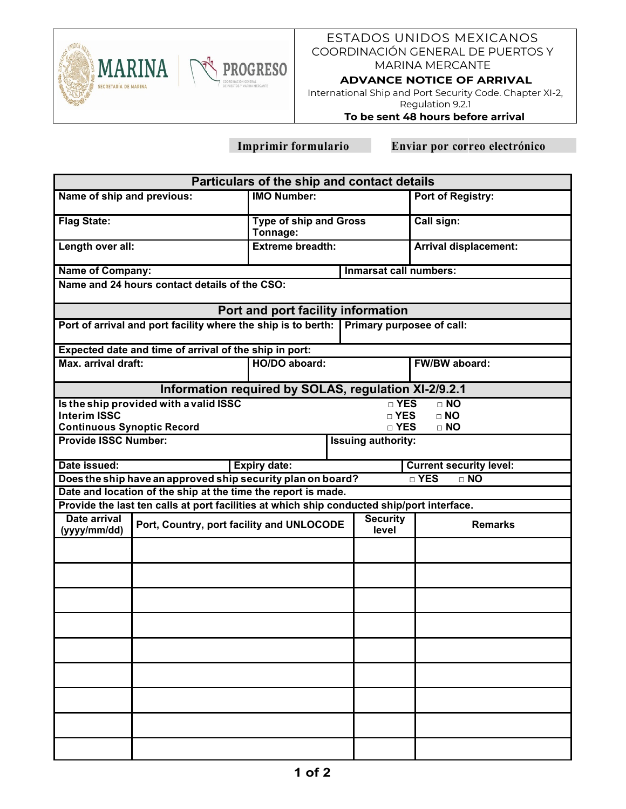

# ESTADOS UNIDOS MEXICANOS COORDINACIÓN GENERAL DE PUERTOS Y MARINA MERCANTE

#### **ADVANCE NOTICE OF ARRIVAL**

International Ship and Port Security Code. Chapter XI-2, Regulation 9.2.1

### **To be sent 48 hours before arrival**

 **Imprimir formulario Enviar por correo electrónico**

| Particulars of the ship and contact details                                       |                                                                                            |                                           |                          |                                    |  |  |  |  |  |
|-----------------------------------------------------------------------------------|--------------------------------------------------------------------------------------------|-------------------------------------------|--------------------------|------------------------------------|--|--|--|--|--|
| Name of ship and previous:                                                        |                                                                                            | <b>IMO Number:</b>                        |                          | Port of Registry:                  |  |  |  |  |  |
| <b>Flag State:</b>                                                                |                                                                                            | <b>Type of ship and Gross</b><br>Tonnage: |                          | Call sign:                         |  |  |  |  |  |
| Length over all:                                                                  |                                                                                            | <b>Extreme breadth:</b>                   |                          | <b>Arrival displacement:</b>       |  |  |  |  |  |
| <b>Name of Company:</b>                                                           |                                                                                            | <b>Inmarsat call numbers:</b>             |                          |                                    |  |  |  |  |  |
| Name and 24 hours contact details of the CSO:                                     |                                                                                            |                                           |                          |                                    |  |  |  |  |  |
| Port and port facility information                                                |                                                                                            |                                           |                          |                                    |  |  |  |  |  |
| Port of arrival and port facility where the ship is to berth:                     |                                                                                            |                                           |                          | Primary purposee of call:          |  |  |  |  |  |
| Expected date and time of arrival of the ship in port:                            |                                                                                            |                                           |                          |                                    |  |  |  |  |  |
| Max. arrival draft:                                                               |                                                                                            | HO/DO aboard:                             |                          | FW/BW aboard:                      |  |  |  |  |  |
| Information required by SOLAS, regulation XI-2/9.2.1                              |                                                                                            |                                           |                          |                                    |  |  |  |  |  |
|                                                                                   | Is the ship provided with a valid ISSC                                                     |                                           |                          | $\overline{\Box}$ YES<br>$\Box$ NO |  |  |  |  |  |
| <b>Interim ISSC</b>                                                               |                                                                                            |                                           | □ YES<br>$\Box$ NO       |                                    |  |  |  |  |  |
| <b>Continuous Synoptic Record</b><br>□ YES<br>$\Box$ NO                           |                                                                                            |                                           |                          |                                    |  |  |  |  |  |
| <b>Provide ISSC Number:</b><br><b>Issuing authority:</b>                          |                                                                                            |                                           |                          |                                    |  |  |  |  |  |
| <b>Expiry date:</b><br>Date issued:                                               |                                                                                            |                                           |                          | <b>Current security level:</b>     |  |  |  |  |  |
| Does the ship have an approved ship security plan on board?<br>□ YES<br>$\Box$ NO |                                                                                            |                                           |                          |                                    |  |  |  |  |  |
|                                                                                   | Date and location of the ship at the time the report is made.                              |                                           |                          |                                    |  |  |  |  |  |
|                                                                                   | Provide the last ten calls at port facilities at which ship conducted ship/port interface. |                                           |                          |                                    |  |  |  |  |  |
| Date arrival<br>(yyyy/mm/dd)                                                      | Port, Country, port facility and UNLOCODE                                                  |                                           | <b>Security</b><br>level | <b>Remarks</b>                     |  |  |  |  |  |
|                                                                                   |                                                                                            |                                           |                          |                                    |  |  |  |  |  |
|                                                                                   |                                                                                            |                                           |                          |                                    |  |  |  |  |  |
|                                                                                   |                                                                                            |                                           |                          |                                    |  |  |  |  |  |
|                                                                                   |                                                                                            |                                           |                          |                                    |  |  |  |  |  |
|                                                                                   |                                                                                            |                                           |                          |                                    |  |  |  |  |  |
|                                                                                   |                                                                                            |                                           |                          |                                    |  |  |  |  |  |
|                                                                                   |                                                                                            |                                           |                          |                                    |  |  |  |  |  |
|                                                                                   |                                                                                            |                                           |                          |                                    |  |  |  |  |  |
|                                                                                   |                                                                                            |                                           |                          |                                    |  |  |  |  |  |
|                                                                                   |                                                                                            |                                           |                          |                                    |  |  |  |  |  |